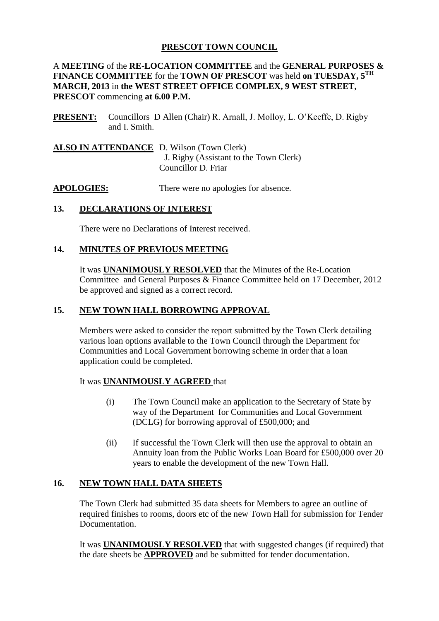# **PRESCOT TOWN COUNCIL**

#### A **MEETING** of the **RE-LOCATION COMMITTEE** and the **GENERAL PURPOSES & FINANCE COMMITTEE** for the **TOWN OF PRESCOT** was held **on TUESDAY, 5TH MARCH, 2013** in **the WEST STREET OFFICE COMPLEX, 9 WEST STREET, PRESCOT** commencing **at 6.00 P.M.**

**PRESENT:** Councillors D Allen (Chair) R. Arnall, J. Molloy, L. O'Keeffe, D. Rigby and I. Smith.

**ALSO IN ATTENDANCE** D. Wilson (Town Clerk) J. Rigby (Assistant to the Town Clerk) Councillor D. Friar

**APOLOGIES:** There were no apologies for absence.

# **13. DECLARATIONS OF INTEREST**

There were no Declarations of Interest received.

# **14. MINUTES OF PREVIOUS MEETING**

It was **UNANIMOUSLY RESOLVED** that the Minutes of the Re-Location Committee and General Purposes & Finance Committee held on 17 December, 2012 be approved and signed as a correct record.

# **15. NEW TOWN HALL BORROWING APPROVAL**

Members were asked to consider the report submitted by the Town Clerk detailing various loan options available to the Town Council through the Department for Communities and Local Government borrowing scheme in order that a loan application could be completed.

#### It was **UNANIMOUSLY AGREED** that

- (i) The Town Council make an application to the Secretary of State by way of the Department for Communities and Local Government (DCLG) for borrowing approval of £500,000; and
- (ii) If successful the Town Clerk will then use the approval to obtain an Annuity loan from the Public Works Loan Board for £500,000 over 20 years to enable the development of the new Town Hall.

# **16. NEW TOWN HALL DATA SHEETS**

The Town Clerk had submitted 35 data sheets for Members to agree an outline of required finishes to rooms, doors etc of the new Town Hall for submission for Tender Documentation.

It was **UNANIMOUSLY RESOLVED** that with suggested changes (if required) that the date sheets be **APPROVED** and be submitted for tender documentation.